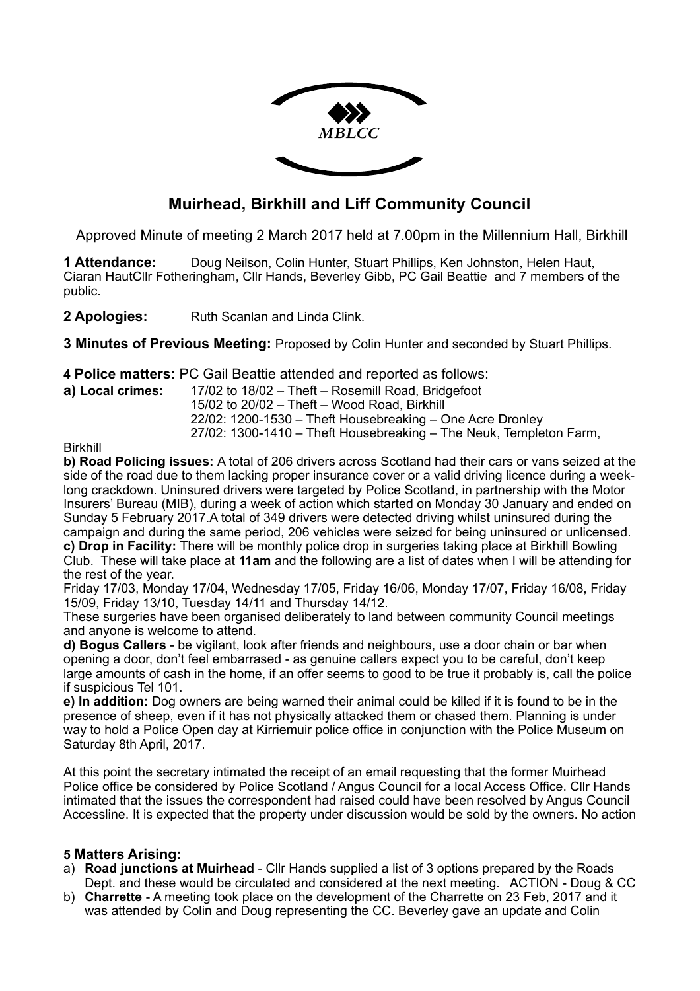

# **Muirhead, Birkhill and Liff Community Council**

Approved Minute of meeting 2 March 2017 held at 7.00pm in the Millennium Hall, Birkhill

**1 Attendance:** Doug Neilson, Colin Hunter, Stuart Phillips, Ken Johnston, Helen Haut, Ciaran HautCllr Fotheringham, Cllr Hands, Beverley Gibb, PC Gail Beattie and 7 members of the public.

2 Apologies: Ruth Scanlan and Linda Clink.

**3 Minutes of Previous Meeting:** Proposed by Colin Hunter and seconded by Stuart Phillips.

**4 Police matters:** PC Gail Beattie attended and reported as follows:

**a) Local crimes:** 17/02 to 18/02 – Theft – Rosemill Road, Bridgefoot

 15/02 to 20/02 – Theft – Wood Road, Birkhill 22/02: 1200-1530 – Theft Housebreaking – One Acre Dronley

27/02: 1300-1410 – Theft Housebreaking – The Neuk, Templeton Farm,

Birkhill

**b) Road Policing issues:** A total of 206 drivers across Scotland had their cars or vans seized at the side of the road due to them lacking proper insurance cover or a valid driving licence during a weeklong crackdown. Uninsured drivers were targeted by Police Scotland, in partnership with the Motor Insurers' Bureau (MIB), during a week of action which started on Monday 30 January and ended on Sunday 5 February 2017.A total of 349 drivers were detected driving whilst uninsured during the campaign and during the same period, 206 vehicles were seized for being uninsured or unlicensed. **c) Drop in Facility:** There will be monthly police drop in surgeries taking place at Birkhill Bowling Club. These will take place at **11am** and the following are a list of dates when I will be attending for the rest of the year.

Friday 17/03, Monday 17/04, Wednesday 17/05, Friday 16/06, Monday 17/07, Friday 16/08, Friday 15/09, Friday 13/10, Tuesday 14/11 and Thursday 14/12.

These surgeries have been organised deliberately to land between community Council meetings and anyone is welcome to attend.

**d) Bogus Callers** - be vigilant, look after friends and neighbours, use a door chain or bar when opening a door, don't feel embarrased - as genuine callers expect you to be careful, don't keep large amounts of cash in the home, if an offer seems to good to be true it probably is, call the police if suspicious Tel 101.

**e) In addition:** Dog owners are being warned their animal could be killed if it is found to be in the presence of sheep, even if it has not physically attacked them or chased them. Planning is under way to hold a Police Open day at Kirriemuir police office in conjunction with the Police Museum on Saturday 8th April, 2017.

At this point the secretary intimated the receipt of an email requesting that the former Muirhead Police office be considered by Police Scotland / Angus Council for a local Access Office. Cllr Hands intimated that the issues the correspondent had raised could have been resolved by Angus Council Accessline. It is expected that the property under discussion would be sold by the owners. No action

### **5 Matters Arising:**

- a) **Road junctions at Muirhead** Cllr Hands supplied a list of 3 options prepared by the Roads Dept. and these would be circulated and considered at the next meeting. ACTION - Doug & CC
- b) **Charrette** A meeting took place on the development of the Charrette on 23 Feb, 2017 and it was attended by Colin and Doug representing the CC. Beverley gave an update and Colin